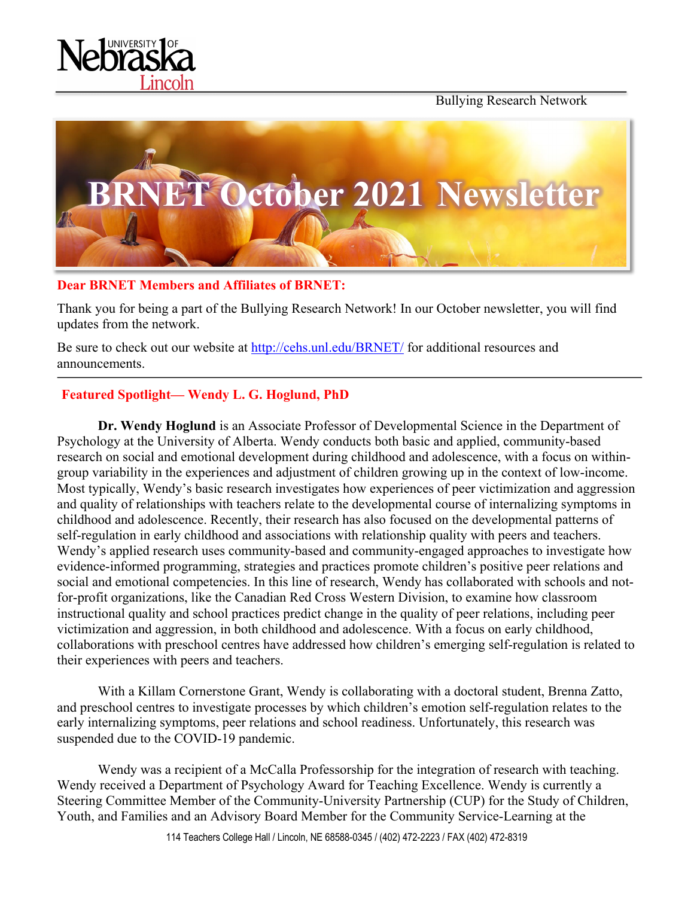





### **Dear BRNET Members and Affiliates of BRNET:**

Thank you for being a part of the Bullying Research Network! In our October newsletter, you will find updates from the network.

Be sure to check out our website at http://cehs.unl.edu/BRNET/ for additional resources and announcements.

# **Featured Spotlight— Wendy L. G. Hoglund, PhD**

**Dr. Wendy Hoglund** is an Associate Professor of Developmental Science in the Department of Psychology at the University of Alberta. Wendy conducts both basic and applied, community-based research on social and emotional development during childhood and adolescence, with a focus on withingroup variability in the experiences and adjustment of children growing up in the context of low-income. Most typically, Wendy's basic research investigates how experiences of peer victimization and aggression and quality of relationships with teachers relate to the developmental course of internalizing symptoms in childhood and adolescence. Recently, their research has also focused on the developmental patterns of self-regulation in early childhood and associations with relationship quality with peers and teachers. Wendy's applied research uses community-based and community-engaged approaches to investigate how evidence-informed programming, strategies and practices promote children's positive peer relations and social and emotional competencies. In this line of research, Wendy has collaborated with schools and notfor-profit organizations, like the Canadian Red Cross Western Division, to examine how classroom instructional quality and school practices predict change in the quality of peer relations, including peer victimization and aggression, in both childhood and adolescence. With a focus on early childhood, collaborations with preschool centres have addressed how children's emerging self-regulation is related to their experiences with peers and teachers.

With a Killam Cornerstone Grant, Wendy is collaborating with a doctoral student, Brenna Zatto, and preschool centres to investigate processes by which children's emotion self-regulation relates to the early internalizing symptoms, peer relations and school readiness. Unfortunately, this research was suspended due to the COVID-19 pandemic.

Wendy was a recipient of a McCalla Professorship for the integration of research with teaching. Wendy received a Department of Psychology Award for Teaching Excellence. Wendy is currently a Steering Committee Member of the Community-University Partnership (CUP) for the Study of Children, Youth, and Families and an Advisory Board Member for the Community Service-Learning at the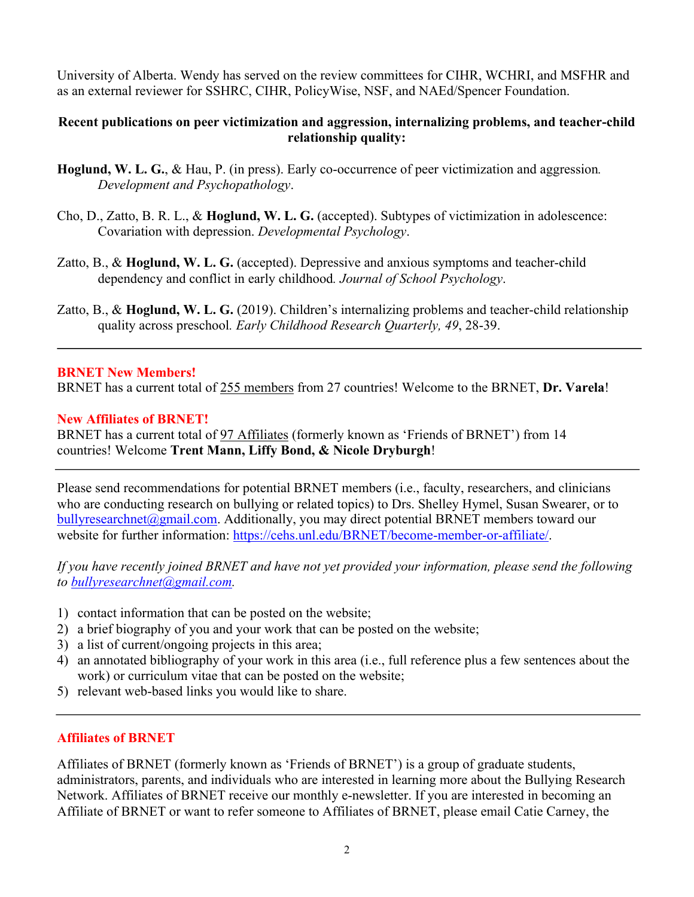University of Alberta. Wendy has served on the review committees for CIHR, WCHRI, and MSFHR and as an external reviewer for SSHRC, CIHR, PolicyWise, NSF, and NAEd/Spencer Foundation.

### **Recent publications on peer victimization and aggression, internalizing problems, and teacher-child relationship quality:**

- **Hoglund, W. L. G.**, & Hau, P. (in press). Early co-occurrence of peer victimization and aggression*. Development and Psychopathology*.
- Cho, D., Zatto, B. R. L., & **Hoglund, W. L. G.** (accepted). Subtypes of victimization in adolescence: Covariation with depression. *Developmental Psychology*.
- Zatto, B., & **Hoglund, W. L. G.** (accepted). Depressive and anxious symptoms and teacher-child dependency and conflict in early childhood*. Journal of School Psychology*.
- Zatto, B., & **Hoglund, W. L. G.** (2019). Children's internalizing problems and teacher-child relationship quality across preschool*. Early Childhood Research Quarterly, 49*, 28-39.

### **BRNET New Members!**

BRNET has a current total of 255 members from 27 countries! Welcome to the BRNET, **Dr. Varela**!

### **New Affiliates of BRNET!**

BRNET has a current total of 97 Affiliates (formerly known as 'Friends of BRNET') from 14 countries! Welcome **Trent Mann, Liffy Bond, & Nicole Dryburgh**!

Please send recommendations for potential BRNET members (i.e., faculty, researchers, and clinicians who are conducting research on bullying or related topics) to Drs. Shelley Hymel, Susan Swearer, or to bullyresearchnet@gmail.com. Additionally, you may direct potential BRNET members toward our website for further information: https://cehs.unl.edu/BRNET/become-member-or-affiliate/.

*If you have recently joined BRNET and have not yet provided your information, please send the following to bullyresearchnet@gmail.com.*

- 1) contact information that can be posted on the website;
- 2) a brief biography of you and your work that can be posted on the website;
- 3) a list of current/ongoing projects in this area;
- 4) an annotated bibliography of your work in this area (i.e., full reference plus a few sentences about the work) or curriculum vitae that can be posted on the website;
- 5) relevant web-based links you would like to share.

## **Affiliates of BRNET**

Affiliates of BRNET (formerly known as 'Friends of BRNET') is a group of graduate students, administrators, parents, and individuals who are interested in learning more about the Bullying Research Network. Affiliates of BRNET receive our monthly e-newsletter. If you are interested in becoming an Affiliate of BRNET or want to refer someone to Affiliates of BRNET, please email Catie Carney, the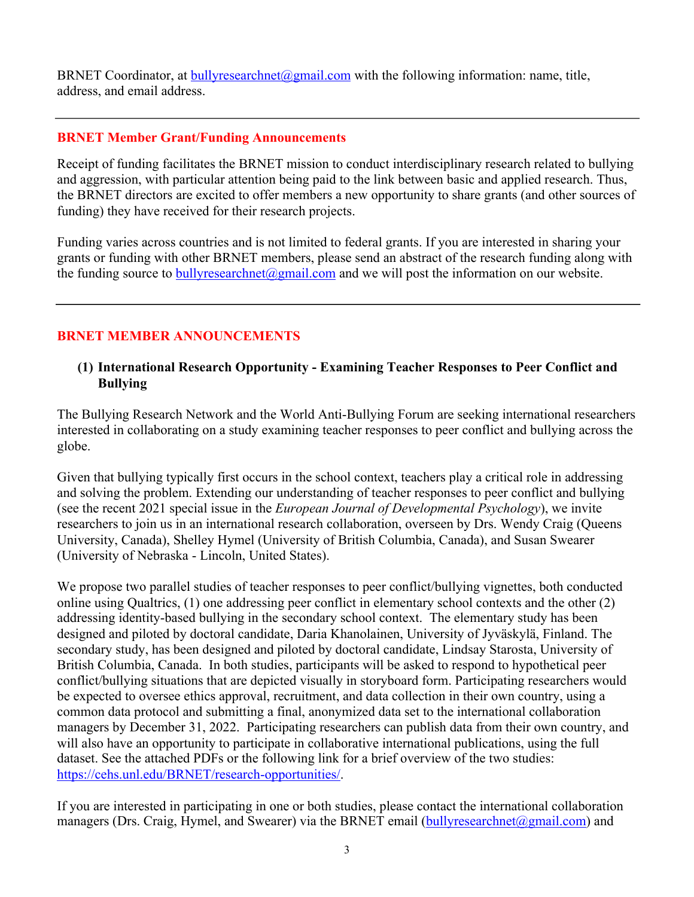BRNET Coordinator, at bullyresearchnet@gmail.com with the following information: name, title, address, and email address.

## **BRNET Member Grant/Funding Announcements**

Receipt of funding facilitates the BRNET mission to conduct interdisciplinary research related to bullying and aggression, with particular attention being paid to the link between basic and applied research. Thus, the BRNET directors are excited to offer members a new opportunity to share grants (and other sources of funding) they have received for their research projects.

Funding varies across countries and is not limited to federal grants. If you are interested in sharing your grants or funding with other BRNET members, please send an abstract of the research funding along with the funding source to bully research net  $\omega$  gmail.com and we will post the information on our website.

# **BRNET MEMBER ANNOUNCEMENTS**

## **(1) International Research Opportunity - Examining Teacher Responses to Peer Conflict and Bullying**

The Bullying Research Network and the World Anti-Bullying Forum are seeking international researchers interested in collaborating on a study examining teacher responses to peer conflict and bullying across the globe.

Given that bullying typically first occurs in the school context, teachers play a critical role in addressing and solving the problem. Extending our understanding of teacher responses to peer conflict and bullying (see the recent 2021 special issue in the *European Journal of Developmental Psychology*), we invite researchers to join us in an international research collaboration, overseen by Drs. Wendy Craig (Queens University, Canada), Shelley Hymel (University of British Columbia, Canada), and Susan Swearer (University of Nebraska - Lincoln, United States).

We propose two parallel studies of teacher responses to peer conflict/bullying vignettes, both conducted online using Qualtrics, (1) one addressing peer conflict in elementary school contexts and the other (2) addressing identity-based bullying in the secondary school context. The elementary study has been designed and piloted by doctoral candidate, Daria Khanolainen, University of Jyväskylä, Finland. The secondary study, has been designed and piloted by doctoral candidate, Lindsay Starosta, University of British Columbia, Canada. In both studies, participants will be asked to respond to hypothetical peer conflict/bullying situations that are depicted visually in storyboard form. Participating researchers would be expected to oversee ethics approval, recruitment, and data collection in their own country, using a common data protocol and submitting a final, anonymized data set to the international collaboration managers by December 31, 2022. Participating researchers can publish data from their own country, and will also have an opportunity to participate in collaborative international publications, using the full dataset. See the attached PDFs or the following link for a brief overview of the two studies: https://cehs.unl.edu/BRNET/research-opportunities/.

If you are interested in participating in one or both studies, please contact the international collaboration managers (Drs. Craig, Hymel, and Swearer) via the BRNET email (bullyresearchnet@gmail.com) and